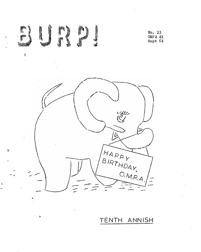

## TENTH ANNISH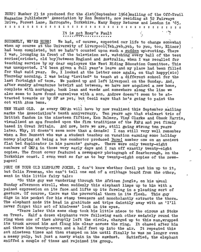BURP! Number <sup>23</sup> is produced for the 41st(September 1964)mailing of the Off-Trail Magazine Publishers<sup>1</sup> Association by Ron Bennett, now residing at 52 Fairways Drive, Forest Lane, Harrogate, Yorkshire. Many Happy Returns and London in '65. **oqoooSoooooooooSSodoSSoSoScooSSSScSoooS<sup>o</sup>**

## It is not Eney'<sup>s</sup> Fault

SUDDENLY, WE'RE HERE! We had, of course, expected our life to change somewhat when my course at the University of Liverpool(Yeh,yeh, yeh, to you, too, Elinor) had been completed, but we hadn't counted upon such a sudden up-rooting. There I was, lounging in front of the television set, watching every ball of the test series(cricket, old boy)between England and Australia, when I was recalled for teaching service by my dear employers the West Riding Education Committee, This was unexpected, I'<sup>d</sup> been given <sup>a</sup> full year'<sup>s</sup> leave and my place had been filled for that said year. So, I looked at the letter once again, on that happy(sic) Thursday morning. I was being "invited" to teach at a different school for the last fortnight of term. We packed up and left Liverpool on the Sunday. And, after sundry adventures betwixt and between, we have now acquired a new home, complete with mortgage, bank loan and weeds and somewhere along the line we also seem to have found ourselves with a son. Andrew doesn't seem to be attracted towards or by SF as yet, but Cecil says that he's going to paint the cot with Atom bems.

TEN YEARS OLD, As every OMPAn will have by now realised this September mailing marks the Association's tenth anniversary. Ten years ago that stalwart trio of British fandom in the nineteen fifties, Ken Bulmer, Ving Clarke and Chuck Harris, visualised an apa founded upon the firm traditions of the PAPA and yet firmly based in Great Britain. And now, here we are, still going strong ten years later. Why, it doesn't seem more than <sup>a</sup> decade' I can still very well remember when a Ron Bennett who was a student teacher on vacation earning some holiday money playing at being a bus conductor produced Burp! number one on an ancient flat bed duplicator in his parents' garage. There were only twenty-eight members of CMPA in those very early days and I ran off exactly twenty-eight copies. The front cover featured a newspaper photograph of Scarborough, bn the Yorkshire coast. I even went so far as to buy twenty-eight copies of the newspaper!

PHUI ON YOUR OLD ELEPHANT JOKES. I don't know whether Cecil put him up to it, but Colin Freeman, who can't tell one end of <sup>a</sup> cribbage board from the other, sent in this little fairy tale:

"So this guy was wandering through the African jungle, on his usual Sunday afternoon stroll, when suddenly this elephant limps up to him with a pained expression on its face and lifts up its foreleg in a pleading sort of gesture. Of course, there was the proverbial thorn in its flesh. This guy digs in his pocket for his stamp tweezers and noncholantly extracts the thorn. The elephant nods its head in gratitude and trips daintily away with an 'I'll never forget this act of kindness' look in its eyes.

"Years later this same chap took his little niece to the circus at Stoke on Trent. Half a dozen elephants were following each other sedately round the ring when one of them abruptly left the circle, charged up to this man,wrapped its trunk around him and flung him clear across the ring. It chased after him and threw him twenty-seven and a half feet up into the air. It repeated this act. nineteen times and then stamped on him until finally he was no longer even a messy pulp, but just a nasty stain in the sawdust. Satisfied, the elephant sniffed <sup>a</sup> couple of times and rejoined its group.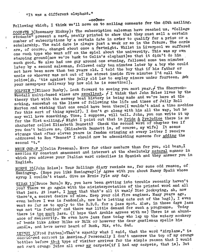«It was a different elephant."

**—ooOoO'\*'**

Following which, I think we'll move on to mailing comments for the 40th mailing.

COGNATO 3(Rosemary Hickey): The subscription salesman have reached us. "College students" present a card, neatly printed to show that they must sell a certain number of subscriptions by a certain date in order to qualify for a prize or a scholarship. The said date is always just a week or so in the future. The cards are, of course, changed about once a fortnight. Whilst in Liverpool we suffered one such type who went off on the spiel about the university. This was my own stamping ground(now we're back to Colin's elephant)so that it didn't do him much good. We also had one guy around one evening, followed some ten minutes later by a second salesman, followed only ten minutes later by a boy who could not have been more than ten years old. I told the boy that if his father or uncle or whoever was not out of the street inside five minutes I'd call the police(Ah, 'tis against the jolly old law to employ minors under fourteen. Ask your newspaper delivery boy how old he is sometime!).

DOLPHIN  $\frac{7}{2}$ (Elinor Busby). Look forward to seeing you next year./ The Shorrock-Weedall multi-based wines are excellent.  $/$  I think that John Roles lives by the theory that with the mersey beat history is being made and we're here at the making, somewhat on the lines of following the life and times of Jelly Roll Morton and wishing that one could have been there(I wouldn't mind a time machine for this sort of thing myself). I don't go along with him all the way, but he may well have something. Time, I suppose, will tell. John, you can write it up for the 81st mailing.  $/$  Might I point out that in <u>Pride & Prejudice</u> there is no character called Elizabeth Bennett? Check the second word of chapter two if you don't believe me. (Elizabeth Bennett is, of course, my wife) It seems strange that after eleven years in fandom cringing at every letter I receive strange that after eleven years in landom cringing as coor, is for adding the nddrossed t<br>second "t.<mark>"</mark>

second "t."<br>MEIN OMP-F 3(Colin Freeman). More for other members than for you, old bean, I mention my constant amazement and interest at the absolutely natural manner in which you address your Italian ward orderlies in Spanish and they answer you in English,

MORPH  $35$ (John Roles): Your Rollings diary reminds me, for some odd reason, of Hemingway. (Hope you like Hemingway!)/ Agree with you about Nancy Spain whose syrup I couldn't stand. Give me Ernie Pyle any day.

SIZAR 13(Bruce Burn): My, you have been getting into trouble recently haven't you?"There we go again with the misinterpretation of the printed word and all that jazz. At least, I hope that that's all it was!/ Disc jockeying, ah, now there's a secret desire of mine. Keep your old fire engines. Many years ago, even before I was in fandom(ah, now he's letting cats out of the bag!), I even went so far as to apply to the B.B.C. for a jazz spot. Alas, in those days jazz was not "in fashion" and there was little demand for such a programme. Today there is too much jazz. (I hope that Archie agrees with me) There is an abundance of mediocrity. We even have jazz fans today who lap up the watery mockery of bands like Acker Bilke or Bilk or however the dear gentleman spells his handle, and have never heard of Bunk, Bix, etc. Sad.

 $\text{LEFTUL } 3(Fred \; {\text{P}} \text{rate})$  s That's exactly what I said, that the word "Airplane," is convidered correct in America./ Personally I don't unscrew the top of my orange bottles before that type of visitor arrives for the simple reason that I would not rant orange juice all over my carpets(if I had any carpets, that is). But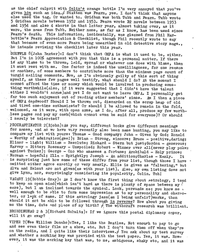as the chief culprit with Colin'<sup>s</sup> orange bottle I'<sup>m</sup> very annoyed, that you've given him such an idea. $/$  Statten was Fearn, yes. I don't think that anyone else used the tag. Or wanted to. Gridban was both Tubb and Fearn. Tubb wrote 5 Gridban novels between 1952 and 1953. Fearn wrote 32 novels between 1953 snd <sup>1954</sup> and also <sup>4</sup> shorts in that latter year, almost taking over, as it were, the name from Tubb. Neither name, as far as I know, has been used since .Fearn's death. This information, incidentally, was gleaned from Phil Harbottl'e's Fearn Appreciation & Checklist, though Phil recently wrote to say that because of even more Fearn being unearthed in old detective story mags., 'he' intends revising the checklist later this year.

SOUFFLE 8(John Baxter): I don't think that OMPA is what it used to be, either. But  $I<sup>1</sup>$ m in 100% agreement with you that this is a personal matter. If there is any blame to be thrown, laid, spread or whatever one does with blame, then it must rest with me. One factor is indeed the unwillingness, for one reason or another, of some members to contribute more than the minimum page count of turgid mailing comments. Now, as I'<sup>m</sup> obviously guilty of this sort of thing myself, as these few pages well testify, what should I do? At the moment I cannot afford the time or money which would be involved in producing something worthwhile(also, if it were suggested that I didn't have the talent either I wouldn't argue)and yet I do not want to leave OMPA. I personally get far too much enjoyment out of reading other members' zines. Am I then a piece of OMPA deadwood? Should I be thrown out, discarded on the scrap heap of old and tired one-time enthusiasts? Or should I be allowed to remain in the fold. welcomed, as it were, with open arms, as I do, after all, produce my few worthless pages and pay my cash(which cannot even be said for everyone)? Or should I merely be tolerated?

PROCRASTINATOR 2(Bjohn): As you say, different hooks give different meanings for names, and as we have very recently also been name hunting, you may like to compare my list with yours: Thomas - Good company; John - Given by God; Ronald  $-$  Worthy of admiration(gee!); Brian - Strong, sincere; Bruce - positive,daring; Elinor - light; William - Resolute; Richard - Stern but just;Gordon - generous; Harvey - Bitter; Rosemary - Unspoiled; Robert - Winner over all(never play poker against Tucker); George - One who amasses a fortune; Archibald - Holy prince; Norman - hopeful; Ella - Sprightly; Joseph - An addition; Charles - Manly. It is surprising just how some of these differ from your list, though those I have omitted either agree exactly or very nearly. Ellis is given as "faltering," but Alva and Helmut arc not given(as with your list). Also, my own listing does not give Lynn, nor, surprisingly considering its popularity, Colin. Tch'

VAGARY.19(Bobbie Gray)? As I don't know the first thing about astrology, I tend to keep an open mind(which isn't hard as there is plenty of space between my  $\mathcal{V}$ ears), but I am inclined towards the cynical. Look, persuade me; you know me  $\cdot$ well enough to be able to form some impression as to my personality and character, or lack of same. If this astrology jazz(am I being unfair?)works, then should it not be able to be followed through in reverse? How about you giving me the time, date and place of my birth?  $/$  The withcraft research was brilliant.

BROBDINGNAG 2 &  $3(Richard$  Schultz): If we ignore this postal diplomacy coper. will it go away?

VIPER 7 (Wee William Donaho): Yes, I like the Beatles. Not enough to pay to go and see even their film or <sup>a</sup> show, etc. But I don't turn them off when they're on the radio, and I quite like their interviews. $\neq$  You ask about my test survey and whether a marking key was provided with the test paper. Yes, it was. However, it was the marking key that was, to me, ambiguous, shaky etc, and it was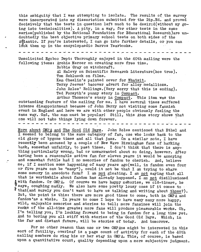this ambiguity that I was attempting to isolate. The results of the survey were incorporated into my dissertation submitted for the Dip,Ed, and proved decisively that the tests in question left much to be desirod(without my going into technicalities), <sup>A</sup> pity, in a way, for other tests in the same series(published by the National Foundation for Educational Research)are undoubtedly the best objective primary school tests on both sides of the Atlantic. If you're interested, I can go into further details, or you can 16ok them up in the encyclopaedic Burros Yearbooks.

Unsolicited Egoboo Dept? Thoroughly enjoyed in the 40th mailing were the following items: Archie Mercer on creating more free time.

Bobbie Gray on witchcraft.

Al Halevy on Scientific Research Literature(hoe true), Tom Schlueck on films. Ken Cheslin's painted cover for Whatsit.

Terry Jeeves' bacover advert for alloy medallions. John Roles' Rollings.(Very sorry that this is ending). Ted Forsyth's punny story in Compact.

Arthur Thomson'<sup>s</sup> story in Compact. This item was the outstanding feature of the mailing for me, I have several times suffered intense disappointment because of John Berry not visiting some fannish event in England and here we are with other people obviously feeling the same way. Gad, the man must be popular! Still, this Atom story shows that one will not take things lying down forever.

More ahout OMPA and The Good Old Days. John Roles mentioned that Ethel and I seemed to belong to the same category of fan, one who looks back to the old glory of bygone times and all that jazz. On a similar note, I have recently been accused by a couple of New Wave Birmingham fans of harking back, somewhat unfairly, to past times. I don't think that there is anything particularly wrong, bad or unwarranted about so doing, however. After having been <sup>a</sup> reasonable active fan for eleven years it would be annoying and somewhat futile had I no memories of fandom to cherish. And, believe me, if I mention some happening of many years ago(well, in fandom even four or five years can be "many"), could it not be that I am trying to share. some memory in anecdote form? I am not gloating. I am not saying that all that is worthwhile about fandom has already happened.  $I$  am not disillusioned with fandom. Or OMPA. Of course we have happy memories, we old-timers, he says, coughing madly. We also have some pretty lousy ones if it comes to \* that (and surely you don't want to have us talking and writing about those?). But, the point is this? there are more good times to come, both in OMPA and fandom as a whole. In years to come I hope to have many many more happy, wild, enjoyable memories and stories to tell; more fanzines will join the ranks of the all-time greats; more fans will produce pleasurable works. Oh, I'<sup>m</sup> telling you, I'm looking forward to being in fandom- for <sup>a</sup> long time yet. And to boring you all stiff with stories of the'Good Old Days. Which, in the far and distant future, will be stories of today. And tomorrow.

For no other reason than one or two OMPAns might be interested in this sort of futility, overleaf is <sup>a</sup> page count of activity for each of the 40th mailing members du ring his or her stay in OMPA. This, of course, is based upon a quantitative count, quality depending upon a more subjective judgment.